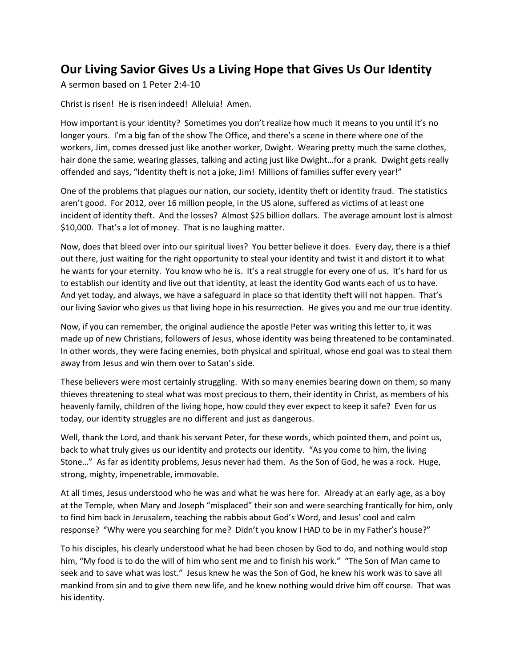## **Our Living Savior Gives Us a Living Hope that Gives Us Our Identity**

A sermon based on 1 Peter 2:4-10

Christ is risen! He is risen indeed! Alleluia! Amen.

How important is your identity? Sometimes you don't realize how much it means to you until it's no longer yours. I'm a big fan of the show The Office, and there's a scene in there where one of the workers, Jim, comes dressed just like another worker, Dwight. Wearing pretty much the same clothes, hair done the same, wearing glasses, talking and acting just like Dwight…for a prank. Dwight gets really offended and says, "Identity theft is not a joke, Jim! Millions of families suffer every year!"

One of the problems that plagues our nation, our society, identity theft or identity fraud. The statistics aren't good. For 2012, over 16 million people, in the US alone, suffered as victims of at least one incident of identity theft. And the losses? Almost \$25 billion dollars. The average amount lost is almost \$10,000. That's a lot of money. That is no laughing matter.

Now, does that bleed over into our spiritual lives? You better believe it does. Every day, there is a thief out there, just waiting for the right opportunity to steal your identity and twist it and distort it to what he wants for your eternity. You know who he is. It's a real struggle for every one of us. It's hard for us to establish our identity and live out that identity, at least the identity God wants each of us to have. And yet today, and always, we have a safeguard in place so that identity theft will not happen. That's our living Savior who gives us that living hope in his resurrection. He gives you and me our true identity.

Now, if you can remember, the original audience the apostle Peter was writing this letter to, it was made up of new Christians, followers of Jesus, whose identity was being threatened to be contaminated. In other words, they were facing enemies, both physical and spiritual, whose end goal was to steal them away from Jesus and win them over to Satan's side.

These believers were most certainly struggling. With so many enemies bearing down on them, so many thieves threatening to steal what was most precious to them, their identity in Christ, as members of his heavenly family, children of the living hope, how could they ever expect to keep it safe? Even for us today, our identity struggles are no different and just as dangerous.

Well, thank the Lord, and thank his servant Peter, for these words, which pointed them, and point us, back to what truly gives us our identity and protects our identity. "As you come to him, the living Stone…" As far as identity problems, Jesus never had them. As the Son of God, he was a rock. Huge, strong, mighty, impenetrable, immovable.

At all times, Jesus understood who he was and what he was here for. Already at an early age, as a boy at the Temple, when Mary and Joseph "misplaced" their son and were searching frantically for him, only to find him back in Jerusalem, teaching the rabbis about God's Word, and Jesus' cool and calm response? "Why were you searching for me? Didn't you know I HAD to be in my Father's house?"

To his disciples, his clearly understood what he had been chosen by God to do, and nothing would stop him, "My food is to do the will of him who sent me and to finish his work." "The Son of Man came to seek and to save what was lost." Jesus knew he was the Son of God, he knew his work was to save all mankind from sin and to give them new life, and he knew nothing would drive him off course. That was his identity.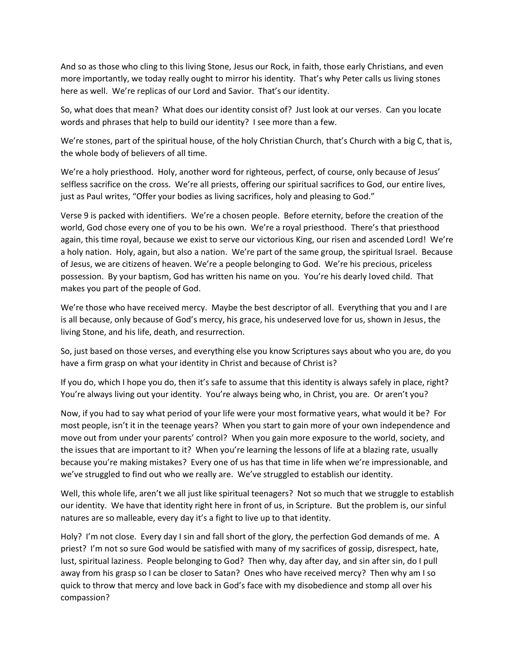And so as those who cling to this living Stone, Jesus our Rock, in faith, those early Christians, and even more importantly, we today really ought to mirror his identity. That's why Peter calls us living stones here as well. We're replicas of our Lord and Savior. That's our identity.

So, what does that mean? What does our identity consist of? Just look at our verses. Can you locate words and phrases that help to build our identity? I see more than a few.

We're stones, part of the spiritual house, of the holy Christian Church, that's Church with a big C, that is, the whole body of believers of all time.

We're a holy priesthood. Holy, another word for righteous, perfect, of course, only because of Jesus' selfless sacrifice on the cross. We're all priests, offering our spiritual sacrifices to God, our entire lives, just as Paul writes, "Offer your bodies as living sacrifices, holy and pleasing to God."

Verse 9 is packed with identifiers. We're a chosen people. Before eternity, before the creation of the world, God chose every one of you to be his own. We're a royal priesthood. There's that priesthood again, this time royal, because we exist to serve our victorious King, our risen and ascended Lord! We're a holy nation. Holy, again, but also a nation. We're part of the same group, the spiritual Israel. Because of Jesus, we are citizens of heaven. We're a people belonging to God. We're his precious, priceless possession. By your baptism, God has written his name on you. You're his dearly loved child. That makes you part of the people of God.

We're those who have received mercy. Maybe the best descriptor of all. Everything that you and I are is all because, only because of God's mercy, his grace, his undeserved love for us, shown in Jesus, the living Stone, and his life, death, and resurrection.

So, just based on those verses, and everything else you know Scriptures says about who you are, do you have a firm grasp on what your identity in Christ and because of Christ is?

If you do, which I hope you do, then it's safe to assume that this identity is always safely in place, right? You're always living out your identity. You're always being who, in Christ, you are. Or aren't you?

Now, if you had to say what period of your life were your most formative years, what would it be? For most people, isn't it in the teenage years? When you start to gain more of your own independence and move out from under your parents' control? When you gain more exposure to the world, society, and the issues that are important to it? When you're learning the lessons of life at a blazing rate, usually because you're making mistakes? Every one of us has that time in life when we're impressionable, and we've struggled to find out who we really are. We've struggled to establish our identity.

Well, this whole life, aren't we all just like spiritual teenagers? Not so much that we struggle to establish our identity. We have that identity right here in front of us, in Scripture. But the problem is, our sinful natures are so malleable, every day it's a fight to live up to that identity.

Holy? I'm not close. Every day I sin and fall short of the glory, the perfection God demands of me. A priest? I'm not so sure God would be satisfied with many of my sacrifices of gossip, disrespect, hate, lust, spiritual laziness. People belonging to God? Then why, day after day, and sin after sin, do I pull away from his grasp so I can be closer to Satan? Ones who have received mercy? Then why am I so quick to throw that mercy and love back in God's face with my disobedience and stomp all over his compassion?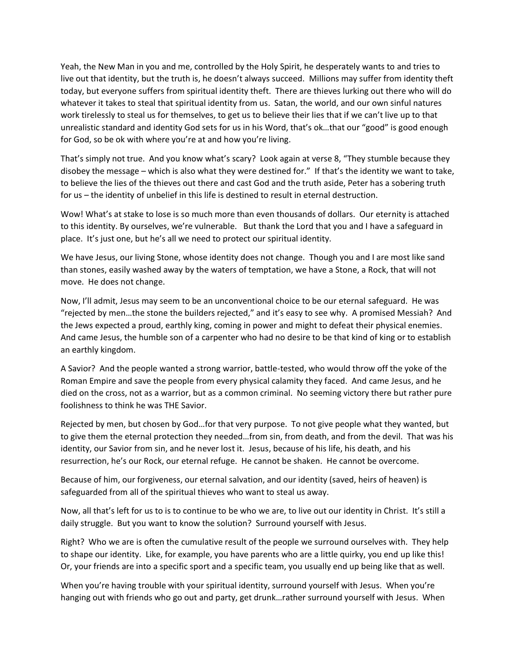Yeah, the New Man in you and me, controlled by the Holy Spirit, he desperately wants to and tries to live out that identity, but the truth is, he doesn't always succeed. Millions may suffer from identity theft today, but everyone suffers from spiritual identity theft. There are thieves lurking out there who will do whatever it takes to steal that spiritual identity from us. Satan, the world, and our own sinful natures work tirelessly to steal us for themselves, to get us to believe their lies that if we can't live up to that unrealistic standard and identity God sets for us in his Word, that's ok…that our "good" is good enough for God, so be ok with where you're at and how you're living.

That's simply not true. And you know what's scary? Look again at verse 8, "They stumble because they disobey the message – which is also what they were destined for." If that's the identity we want to take, to believe the lies of the thieves out there and cast God and the truth aside, Peter has a sobering truth for us – the identity of unbelief in this life is destined to result in eternal destruction.

Wow! What's at stake to lose is so much more than even thousands of dollars. Our eternity is attached to this identity. By ourselves, we're vulnerable. But thank the Lord that you and I have a safeguard in place. It's just one, but he's all we need to protect our spiritual identity.

We have Jesus, our living Stone, whose identity does not change. Though you and I are most like sand than stones, easily washed away by the waters of temptation, we have a Stone, a Rock, that will not move. He does not change.

Now, I'll admit, Jesus may seem to be an unconventional choice to be our eternal safeguard. He was "rejected by men…the stone the builders rejected," and it's easy to see why. A promised Messiah? And the Jews expected a proud, earthly king, coming in power and might to defeat their physical enemies. And came Jesus, the humble son of a carpenter who had no desire to be that kind of king or to establish an earthly kingdom.

A Savior? And the people wanted a strong warrior, battle-tested, who would throw off the yoke of the Roman Empire and save the people from every physical calamity they faced. And came Jesus, and he died on the cross, not as a warrior, but as a common criminal. No seeming victory there but rather pure foolishness to think he was THE Savior.

Rejected by men, but chosen by God…for that very purpose. To not give people what they wanted, but to give them the eternal protection they needed…from sin, from death, and from the devil. That was his identity, our Savior from sin, and he never lost it. Jesus, because of his life, his death, and his resurrection, he's our Rock, our eternal refuge. He cannot be shaken. He cannot be overcome.

Because of him, our forgiveness, our eternal salvation, and our identity (saved, heirs of heaven) is safeguarded from all of the spiritual thieves who want to steal us away.

Now, all that's left for us to is to continue to be who we are, to live out our identity in Christ. It's still a daily struggle. But you want to know the solution? Surround yourself with Jesus.

Right? Who we are is often the cumulative result of the people we surround ourselves with. They help to shape our identity. Like, for example, you have parents who are a little quirky, you end up like this! Or, your friends are into a specific sport and a specific team, you usually end up being like that as well.

When you're having trouble with your spiritual identity, surround yourself with Jesus. When you're hanging out with friends who go out and party, get drunk…rather surround yourself with Jesus. When